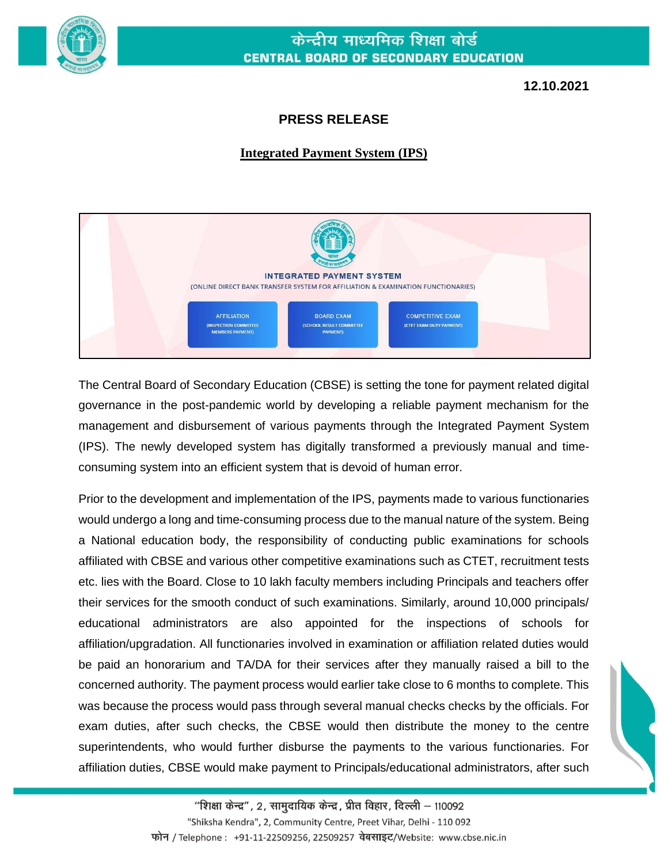

## केन्द्रीय माध्यमिक शिक्षा बोर्ड **CENTRAL BOARD OF SECONDARY EDUCATION**

**12.10.2021**

## **PRESS RELEASE**

## **Integrated Payment System (IPS)**



The Central Board of Secondary Education (CBSE) is setting the tone for payment related digital governance in the post-pandemic world by developing a reliable payment mechanism for the management and disbursement of various payments through the Integrated Payment System (IPS). The newly developed system has digitally transformed a previously manual and timeconsuming system into an efficient system that is devoid of human error.

Prior to the development and implementation of the IPS, payments made to various functionaries would undergo a long and time-consuming process due to the manual nature of the system. Being a National education body, the responsibility of conducting public examinations for schools affiliated with CBSE and various other competitive examinations such as CTET, recruitment tests etc. lies with the Board. Close to 10 lakh faculty members including Principals and teachers offer their services for the smooth conduct of such examinations. Similarly, around 10,000 principals/ educational administrators are also appointed for the inspections of schools for affiliation/upgradation. All functionaries involved in examination or affiliation related duties would be paid an honorarium and TA/DA for their services after they manually raised a bill to the concerned authority. The payment process would earlier take close to 6 months to complete. This was because the process would pass through several manual checks checks by the officials. For exam duties, after such checks, the CBSE would then distribute the money to the centre superintendents, who would further disburse the payments to the various functionaries. For affiliation duties, CBSE would make payment to Principals/educational administrators, after such

"शिक्षा केन्द्र", 2, सामुदायिक केन्द्र, प्रीत विहार, दिल्ली – 110092 "Shiksha Kendra", 2, Community Centre, Preet Vihar, Delhi - 110 092 फोन / Telephone : +91-11-22509256, 22509257 वेबसाइट/Website: www.cbse.nic.in